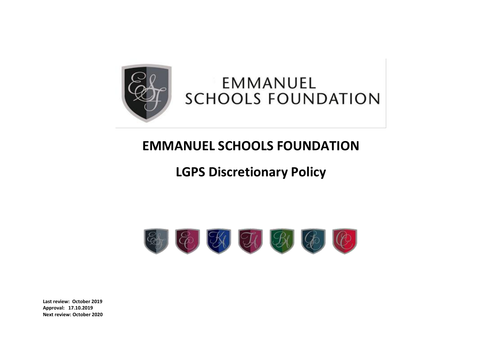

# EMMANUEL **SCHOOLS FOUNDATION**

# **EMMANUEL SCHOOLS FOUNDATION**

# **LGPS Discretionary Policy**



**Last review: October 2019 Approval: 17.10.2019 Next review: October 2020**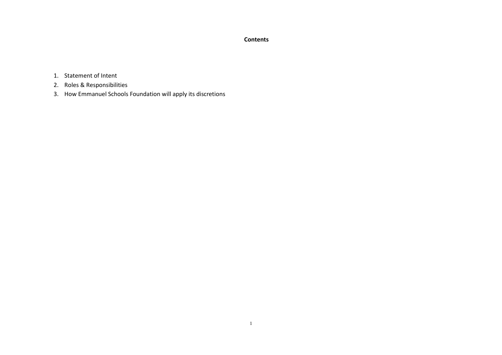### **Contents**

- 1. Statement of Intent
- 2. Roles & Responsibilities
- 3. How Emmanuel Schools Foundation will apply its discretions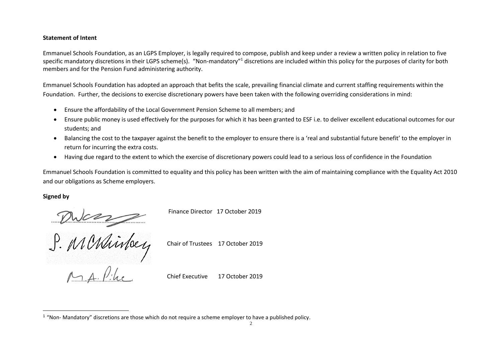#### **Statement of Intent**

Emmanuel Schools Foundation, as an LGPS Employer, is legally required to compose, publish and keep under a review a written policy in relation to five specific mandatory discretions in their LGPS scheme(s). "Non-mandatory"<sup>1</sup> discretions are included within this policy for the purposes of clarity for both members and for the Pension Fund administering authority.

Emmanuel Schools Foundation has adopted an approach that befits the scale, prevailing financial climate and current staffing requirements within the Foundation. Further, the decisions to exercise discretionary powers have been taken with the following overriding considerations in mind:

- Ensure the affordability of the Local Government Pension Scheme to all members; and
- Ensure public money is used effectively for the purposes for which it has been granted to ESF i.e. to deliver excellent educational outcomes for our students; and
- Balancing the cost to the taxpayer against the benefit to the employer to ensure there is a 'real and substantial future benefit' to the employer in return for incurring the extra costs.
- Having due regard to the extent to which the exercise of discretionary powers could lead to a serious loss of confidence in the Foundation

Emmanuel Schools Foundation is committed to equality and this policy has been written with the aim of maintaining compliance with the Equality Act 2010 and our obligations as Scheme employers.

#### **Signed by**

 $\overline{a}$ 

Finance Director 17 October 2019

Duces

Chair of Trustees 17 October 2019

Chief Executive 17 October 2019

 $1$  "Non- Mandatory" discretions are those which do not require a scheme employer to have a published policy.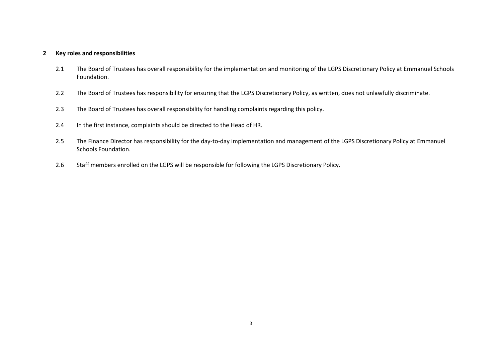### **2 Key roles and responsibilities**

- 2.1 The Board of Trustees has overall responsibility for the implementation and monitoring of the LGPS Discretionary Policy at Emmanuel Schools Foundation.
- 2.2 The Board of Trustees has responsibility for ensuring that the LGPS Discretionary Policy, as written, does not unlawfully discriminate.
- 2.3 The Board of Trustees has overall responsibility for handling complaints regarding this policy.
- 2.4 In the first instance, complaints should be directed to the Head of HR.
- 2.5 The Finance Director has responsibility for the day-to-day implementation and management of the LGPS Discretionary Policy at Emmanuel Schools Foundation.
- 2.6 Staff members enrolled on the LGPS will be responsible for following the LGPS Discretionary Policy.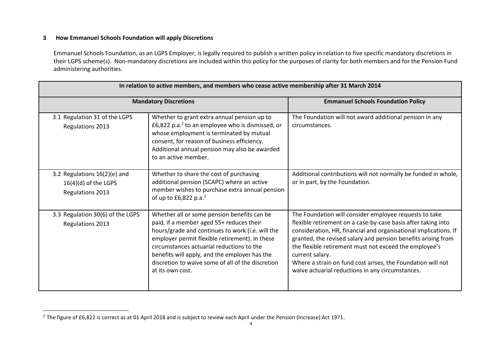## **3 How Emmanuel Schools Foundation will apply Discretions**

 $\overline{a}$ 

Emmanuel Schools Foundation, as an LGPS Employer, is legally required to publish a written policy in relation to five specific mandatory discretions in their LGPS scheme(s). Non-mandatory discretions are included within this policy for the purposes of clarity for both members and for the Pension Fund administering authorities.

| <b>Mandatory Discretions</b>                                               |                                                                                                                                                                                                                                                                                                                                                                      | <b>Emmanuel Schools Foundation Policy</b>                                                                                                                                                                                                                                                                                                                                                                                                                    |
|----------------------------------------------------------------------------|----------------------------------------------------------------------------------------------------------------------------------------------------------------------------------------------------------------------------------------------------------------------------------------------------------------------------------------------------------------------|--------------------------------------------------------------------------------------------------------------------------------------------------------------------------------------------------------------------------------------------------------------------------------------------------------------------------------------------------------------------------------------------------------------------------------------------------------------|
| 3.1 Regulation 31 of the LGPS<br><b>Regulations 2013</b>                   | Whether to grant extra annual pension up to<br>£6,822 p.a. <sup>2</sup> to an employee who is dismissed, or<br>whose employment is terminated by mutual<br>consent, for reason of business efficiency.<br>Additional annual pension may also be awarded<br>to an active member.                                                                                      | The Foundation will not award additional pension in any<br>circumstances.                                                                                                                                                                                                                                                                                                                                                                                    |
| 3.2 Regulations 16(2)(e) and<br>$16(4)(d)$ of the LGPS<br>Regulations 2013 | Whether to share the cost of purchasing<br>additional pension (SCAPC) where an active<br>member wishes to purchase extra annual pension<br>of up to £6,822 p.a. <sup>2</sup>                                                                                                                                                                                         | Additional contributions will not normally be funded in whole,<br>or in part, by the Foundation.                                                                                                                                                                                                                                                                                                                                                             |
| 3.3 Regulation 30(6) of the LGPS<br><b>Regulations 2013</b>                | Whether all or some pension benefits can be<br>paid, if a member aged 55+ reduces their<br>hours/grade and continues to work (i.e. will the<br>employer permit flexible retirement). In these<br>circumstances actuarial reductions to the<br>benefits will apply, and the employer has the<br>discretion to waive some of all of the discretion<br>at its own cost. | The Foundation will consider employee requests to take<br>flexible retirement on a case-by-case basis after taking into<br>consideration, HR, financial and organisational implications. If<br>granted, the revised salary and pension benefits arising from<br>the flexible retirement must not exceed the employee's<br>current salary.<br>Where a strain on fund cost arises, the Foundation will not<br>waive actuarial reductions in any circumstances. |

<sup>&</sup>lt;sup>2</sup> The figure of £6,822 is correct as at 01 April 2018 and is subject to review each April under the Pension (Increase) Act 1971.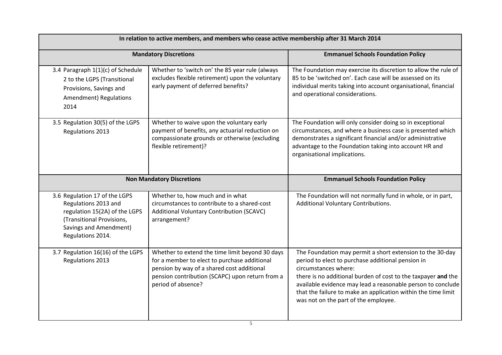| In relation to active members, and members who cease active membership after 31 March 2014                                                                         |                                                                                                                                                                                                                        |                                                                                                                                                                                                                                                                                                                                                                                 |
|--------------------------------------------------------------------------------------------------------------------------------------------------------------------|------------------------------------------------------------------------------------------------------------------------------------------------------------------------------------------------------------------------|---------------------------------------------------------------------------------------------------------------------------------------------------------------------------------------------------------------------------------------------------------------------------------------------------------------------------------------------------------------------------------|
|                                                                                                                                                                    | <b>Mandatory Discretions</b>                                                                                                                                                                                           | <b>Emmanuel Schools Foundation Policy</b>                                                                                                                                                                                                                                                                                                                                       |
| 3.4 Paragraph 1(1)(c) of Schedule<br>2 to the LGPS (Transitional<br>Provisions, Savings and<br>Amendment) Regulations<br>2014                                      | Whether to 'switch on' the 85 year rule (always<br>excludes flexible retirement) upon the voluntary<br>early payment of deferred benefits?                                                                             | The Foundation may exercise its discretion to allow the rule of<br>85 to be 'switched on'. Each case will be assessed on its<br>individual merits taking into account organisational, financial<br>and operational considerations.                                                                                                                                              |
| 3.5 Regulation 30(5) of the LGPS<br>Regulations 2013                                                                                                               | Whether to waive upon the voluntary early<br>payment of benefits, any actuarial reduction on<br>compassionate grounds or otherwise (excluding<br>flexible retirement)?                                                 | The Foundation will only consider doing so in exceptional<br>circumstances, and where a business case is presented which<br>demonstrates a significant financial and/or administrative<br>advantage to the Foundation taking into account HR and<br>organisational implications.                                                                                                |
|                                                                                                                                                                    | <b>Non Mandatory Discretions</b>                                                                                                                                                                                       | <b>Emmanuel Schools Foundation Policy</b>                                                                                                                                                                                                                                                                                                                                       |
| 3.6 Regulation 17 of the LGPS<br>Regulations 2013 and<br>regulation 15(2A) of the LGPS<br>(Transitional Provisions,<br>Savings and Amendment)<br>Regulations 2014. | Whether to, how much and in what<br>circumstances to contribute to a shared-cost<br>Additional Voluntary Contribution (SCAVC)<br>arrangement?                                                                          | The Foundation will not normally fund in whole, or in part,<br>Additional Voluntary Contributions.                                                                                                                                                                                                                                                                              |
| 3.7 Regulation 16(16) of the LGPS<br>Regulations 2013                                                                                                              | Whether to extend the time limit beyond 30 days<br>for a member to elect to purchase additional<br>pension by way of a shared cost additional<br>pension contribution (SCAPC) upon return from a<br>period of absence? | The Foundation may permit a short extension to the 30-day<br>period to elect to purchase additional pension in<br>circumstances where:<br>there is no additional burden of cost to the taxpayer and the<br>available evidence may lead a reasonable person to conclude<br>that the failure to make an application within the time limit<br>was not on the part of the employee. |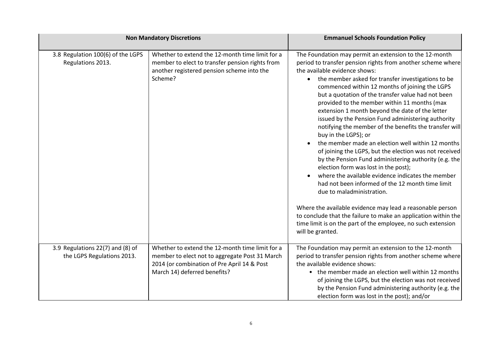| <b>Non Mandatory Discretions</b>                               |                                                                                                                                                                                  | <b>Emmanuel Schools Foundation Policy</b>                                                                                                                                                                                                                                                                                                                                                                                                                                                                                                                                                                                                                                                                                                                                                                                                                                                                                                                                                                                                                                                                                                |
|----------------------------------------------------------------|----------------------------------------------------------------------------------------------------------------------------------------------------------------------------------|------------------------------------------------------------------------------------------------------------------------------------------------------------------------------------------------------------------------------------------------------------------------------------------------------------------------------------------------------------------------------------------------------------------------------------------------------------------------------------------------------------------------------------------------------------------------------------------------------------------------------------------------------------------------------------------------------------------------------------------------------------------------------------------------------------------------------------------------------------------------------------------------------------------------------------------------------------------------------------------------------------------------------------------------------------------------------------------------------------------------------------------|
| 3.8 Regulation 100(6) of the LGPS<br>Regulations 2013.         | Whether to extend the 12-month time limit for a<br>member to elect to transfer pension rights from<br>another registered pension scheme into the<br>Scheme?                      | The Foundation may permit an extension to the 12-month<br>period to transfer pension rights from another scheme where<br>the available evidence shows:<br>the member asked for transfer investigations to be<br>commenced within 12 months of joining the LGPS<br>but a quotation of the transfer value had not been<br>provided to the member within 11 months (max<br>extension 1 month beyond the date of the letter<br>issued by the Pension Fund administering authority<br>notifying the member of the benefits the transfer will<br>buy in the LGPS); or<br>the member made an election well within 12 months<br>of joining the LGPS, but the election was not received<br>by the Pension Fund administering authority (e.g. the<br>election form was lost in the post);<br>where the available evidence indicates the member<br>had not been informed of the 12 month time limit<br>due to maladministration.<br>Where the available evidence may lead a reasonable person<br>to conclude that the failure to make an application within the<br>time limit is on the part of the employee, no such extension<br>will be granted. |
| 3.9 Regulations 22(7) and (8) of<br>the LGPS Regulations 2013. | Whether to extend the 12-month time limit for a<br>member to elect not to aggregate Post 31 March<br>2014 (or combination of Pre April 14 & Post<br>March 14) deferred benefits? | The Foundation may permit an extension to the 12-month<br>period to transfer pension rights from another scheme where<br>the available evidence shows:<br>• the member made an election well within 12 months<br>of joining the LGPS, but the election was not received<br>by the Pension Fund administering authority (e.g. the<br>election form was lost in the post); and/or                                                                                                                                                                                                                                                                                                                                                                                                                                                                                                                                                                                                                                                                                                                                                          |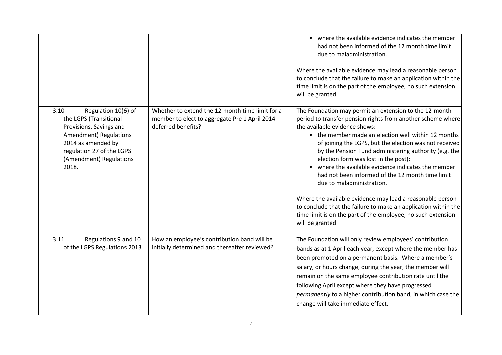|                                                                                                                                                                                                   |                                                                                                                        | • where the available evidence indicates the member<br>had not been informed of the 12 month time limit<br>due to maladministration.<br>Where the available evidence may lead a reasonable person<br>to conclude that the failure to make an application within the<br>time limit is on the part of the employee, no such extension<br>will be granted.                                                                                                                                                                                                                                                                                                                                                         |
|---------------------------------------------------------------------------------------------------------------------------------------------------------------------------------------------------|------------------------------------------------------------------------------------------------------------------------|-----------------------------------------------------------------------------------------------------------------------------------------------------------------------------------------------------------------------------------------------------------------------------------------------------------------------------------------------------------------------------------------------------------------------------------------------------------------------------------------------------------------------------------------------------------------------------------------------------------------------------------------------------------------------------------------------------------------|
| 3.10<br>Regulation 10(6) of<br>the LGPS (Transitional<br>Provisions, Savings and<br>Amendment) Regulations<br>2014 as amended by<br>regulation 27 of the LGPS<br>(Amendment) Regulations<br>2018. | Whether to extend the 12-month time limit for a<br>member to elect to aggregate Pre 1 April 2014<br>deferred benefits? | The Foundation may permit an extension to the 12-month<br>period to transfer pension rights from another scheme where<br>the available evidence shows:<br>• the member made an election well within 12 months<br>of joining the LGPS, but the election was not received<br>by the Pension Fund administering authority (e.g. the<br>election form was lost in the post);<br>• where the available evidence indicates the member<br>had not been informed of the 12 month time limit<br>due to maladministration.<br>Where the available evidence may lead a reasonable person<br>to conclude that the failure to make an application within the<br>time limit is on the part of the employee, no such extension |
| 3.11<br>Regulations 9 and 10<br>of the LGPS Regulations 2013                                                                                                                                      | How an employee's contribution band will be<br>initially determined and thereafter reviewed?                           | will be granted<br>The Foundation will only review employees' contribution<br>bands as at 1 April each year, except where the member has<br>been promoted on a permanent basis. Where a member's<br>salary, or hours change, during the year, the member will<br>remain on the same employee contribution rate until the<br>following April except where they have progressed<br>permanently to a higher contribution band, in which case the<br>change will take immediate effect.                                                                                                                                                                                                                             |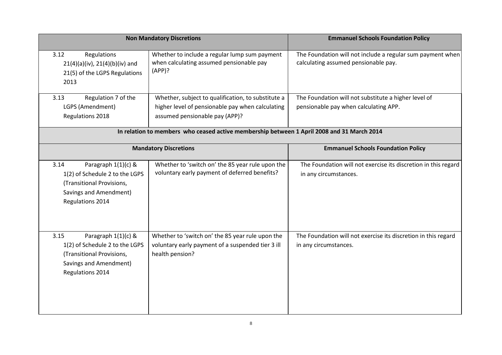|                                                                                                                                          | <b>Non Mandatory Discretions</b>                                                                                         | <b>Emmanuel Schools Foundation Policy</b>                                                          |
|------------------------------------------------------------------------------------------------------------------------------------------|--------------------------------------------------------------------------------------------------------------------------|----------------------------------------------------------------------------------------------------|
| Regulations<br>3.12<br>$21(4)(a)(iv)$ , $21(4)(b)(iv)$ and<br>21(5) of the LGPS Regulations<br>2013                                      | Whether to include a regular lump sum payment<br>when calculating assumed pensionable pay<br>(APP)?                      | The Foundation will not include a regular sum payment when<br>calculating assumed pensionable pay. |
| Regulation 7 of the<br>3.13                                                                                                              | Whether, subject to qualification, to substitute a                                                                       | The Foundation will not substitute a higher level of                                               |
| LGPS (Amendment)                                                                                                                         | higher level of pensionable pay when calculating                                                                         | pensionable pay when calculating APP.                                                              |
| Regulations 2018                                                                                                                         | assumed pensionable pay (APP)?                                                                                           |                                                                                                    |
|                                                                                                                                          | In relation to members who ceased active membership between 1 April 2008 and 31 March 2014                               |                                                                                                    |
|                                                                                                                                          | <b>Mandatory Discretions</b>                                                                                             | <b>Emmanuel Schools Foundation Policy</b>                                                          |
| Paragraph 1(1)(c) &<br>3.14<br>1(2) of Schedule 2 to the LGPS<br>(Transitional Provisions,<br>Savings and Amendment)<br>Regulations 2014 | Whether to 'switch on' the 85 year rule upon the<br>voluntary early payment of deferred benefits?                        | The Foundation will not exercise its discretion in this regard<br>in any circumstances.            |
| 3.15<br>Paragraph 1(1)(c) &<br>1(2) of Schedule 2 to the LGPS<br>(Transitional Provisions,<br>Savings and Amendment)<br>Regulations 2014 | Whether to 'switch on' the 85 year rule upon the<br>voluntary early payment of a suspended tier 3 ill<br>health pension? | The Foundation will not exercise its discretion in this regard<br>in any circumstances.            |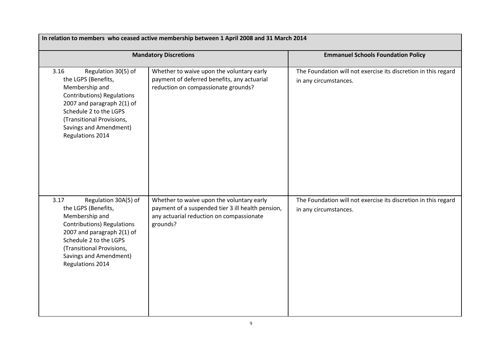| In relation to members who ceased active membership between 1 April 2008 and 31 March 2014                                                                                                                                                    |                                                                                                                                                        |                                                                                         |
|-----------------------------------------------------------------------------------------------------------------------------------------------------------------------------------------------------------------------------------------------|--------------------------------------------------------------------------------------------------------------------------------------------------------|-----------------------------------------------------------------------------------------|
|                                                                                                                                                                                                                                               | <b>Mandatory Discretions</b>                                                                                                                           | <b>Emmanuel Schools Foundation Policy</b>                                               |
| Regulation 30(5) of<br>3.16<br>the LGPS (Benefits,<br>Membership and<br><b>Contributions) Regulations</b><br>2007 and paragraph 2(1) of<br>Schedule 2 to the LGPS<br>(Transitional Provisions,<br>Savings and Amendment)<br>Regulations 2014  | Whether to waive upon the voluntary early<br>payment of deferred benefits, any actuarial<br>reduction on compassionate grounds?                        | The Foundation will not exercise its discretion in this regard<br>in any circumstances. |
| Regulation 30A(5) of<br>3.17<br>the LGPS (Benefits,<br>Membership and<br><b>Contributions) Regulations</b><br>2007 and paragraph 2(1) of<br>Schedule 2 to the LGPS<br>(Transitional Provisions,<br>Savings and Amendment)<br>Regulations 2014 | Whether to waive upon the voluntary early<br>payment of a suspended tier 3 ill health pension,<br>any actuarial reduction on compassionate<br>grounds? | The Foundation will not exercise its discretion in this regard<br>in any circumstances. |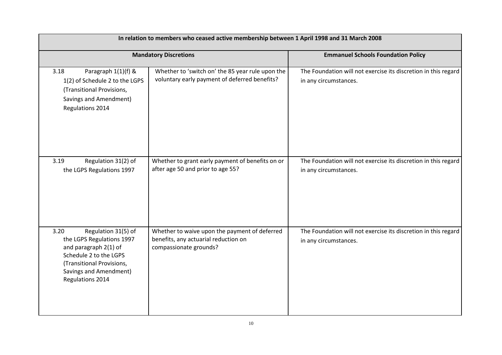| In relation to members who ceased active membership between 1 April 1998 and 31 March 2008                                                                                             |                                                                                                                 |                                                                                         |
|----------------------------------------------------------------------------------------------------------------------------------------------------------------------------------------|-----------------------------------------------------------------------------------------------------------------|-----------------------------------------------------------------------------------------|
|                                                                                                                                                                                        | <b>Mandatory Discretions</b>                                                                                    | <b>Emmanuel Schools Foundation Policy</b>                                               |
| Paragraph 1(1)(f) &<br>3.18<br>1(2) of Schedule 2 to the LGPS<br>(Transitional Provisions,<br>Savings and Amendment)<br>Regulations 2014                                               | Whether to 'switch on' the 85 year rule upon the<br>voluntary early payment of deferred benefits?               | The Foundation will not exercise its discretion in this regard<br>in any circumstances. |
| Regulation 31(2) of<br>3.19<br>the LGPS Regulations 1997                                                                                                                               | Whether to grant early payment of benefits on or<br>after age 50 and prior to age 55?                           | The Foundation will not exercise its discretion in this regard<br>in any circumstances. |
| 3.20<br>Regulation 31(5) of<br>the LGPS Regulations 1997<br>and paragraph 2(1) of<br>Schedule 2 to the LGPS<br>(Transitional Provisions,<br>Savings and Amendment)<br>Regulations 2014 | Whether to waive upon the payment of deferred<br>benefits, any actuarial reduction on<br>compassionate grounds? | The Foundation will not exercise its discretion in this regard<br>in any circumstances. |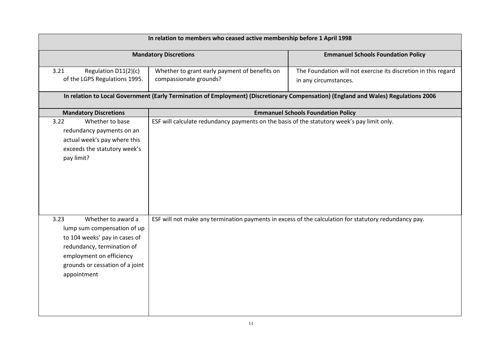| In relation to members who ceased active membership before 1 April 1998                                                                                                                                |                                                                                             |                                                                                                                                                                                                                                |
|--------------------------------------------------------------------------------------------------------------------------------------------------------------------------------------------------------|---------------------------------------------------------------------------------------------|--------------------------------------------------------------------------------------------------------------------------------------------------------------------------------------------------------------------------------|
|                                                                                                                                                                                                        | <b>Mandatory Discretions</b>                                                                | <b>Emmanuel Schools Foundation Policy</b>                                                                                                                                                                                      |
| 3.21<br>Regulation D11(2)(c)<br>of the LGPS Regulations 1995.                                                                                                                                          | Whether to grant early payment of benefits on<br>compassionate grounds?                     | The Foundation will not exercise its discretion in this regard<br>in any circumstances.<br>In relation to Local Government (Early Termination of Employment) (Discretionary Compensation) (England and Wales) Regulations 2006 |
|                                                                                                                                                                                                        |                                                                                             |                                                                                                                                                                                                                                |
| <b>Mandatory Discretions</b><br>Whether to base<br>3.22<br>redundancy payments on an<br>actual week's pay where this<br>exceeds the statutory week's<br>pay limit?                                     | ESF will calculate redundancy payments on the basis of the statutory week's pay limit only. | <b>Emmanuel Schools Foundation Policy</b>                                                                                                                                                                                      |
| 3.23<br>Whether to award a<br>lump sum compensation of up<br>to 104 weeks' pay in cases of<br>redundancy, termination of<br>employment on efficiency<br>grounds or cessation of a joint<br>appointment |                                                                                             | ESF will not make any termination payments in excess of the calculation for statutory redundancy pay.                                                                                                                          |